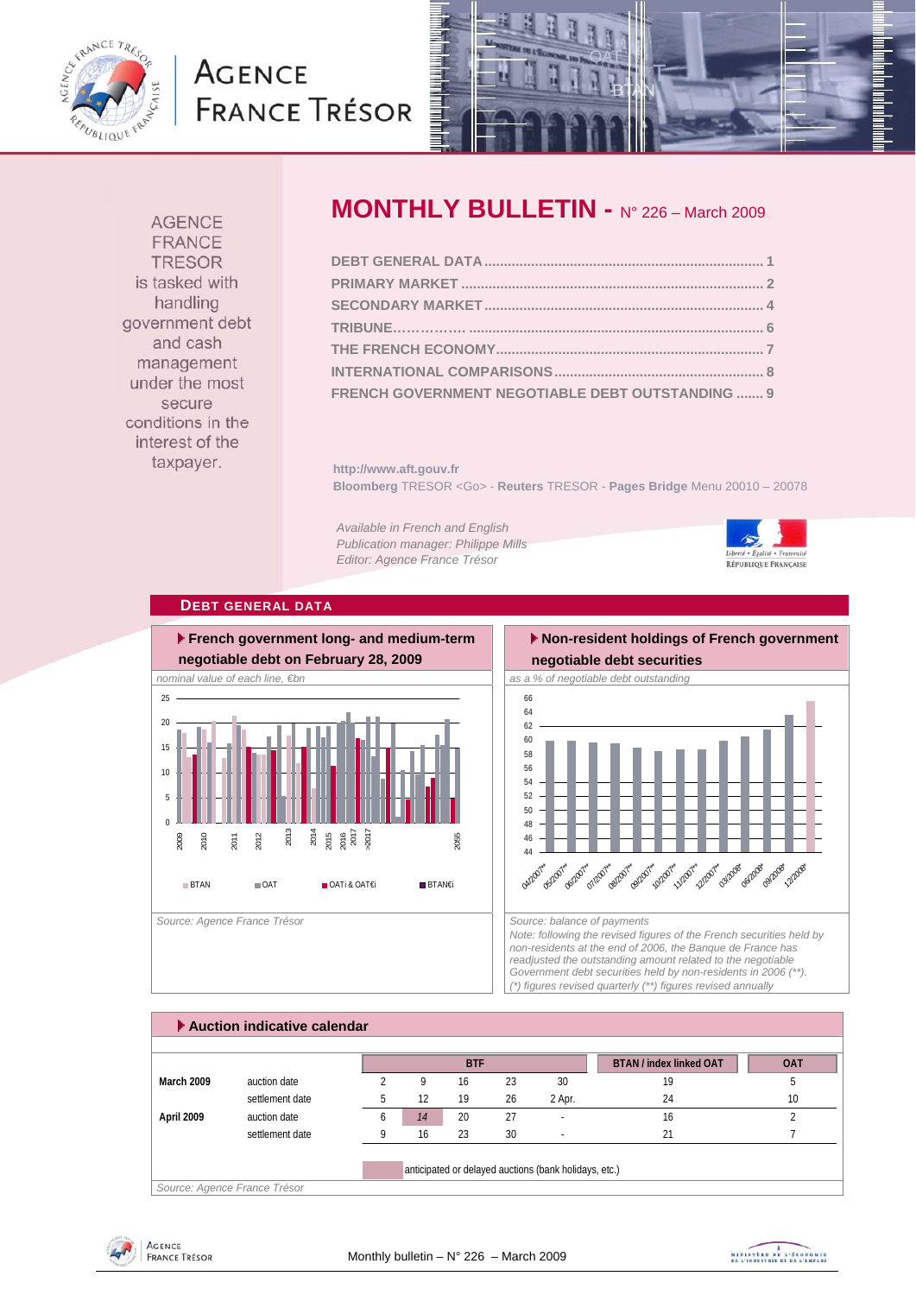

# **AGENCE FRANCE TRÉSOR**



**AGENCE FRANCE TRESOR** is tasked with handling government debt and cash management under the most secure conditions in the interest of the taxpayer.

## **MONTHLY BULLETIN -** N° 226 – March 2009

| FRENCH GOVERNMENT NEGOTIABLE DEBT OUTSTANDING  9 |  |
|--------------------------------------------------|--|

**http://www.aft.gouv.fr Bloomberg** TRESOR <Go> - **Reuters** TRESOR - **Pages Bridge** Menu 20010 – 20078

*Available in French and English Publication manager: Philippe Mills Editor: Agence France Trésor* 



#### **DEBT GENERAL DATA**



#### **Non-resident holdings of French government negotiable debt securities**



*Note: following the revised figures of the French securities held by non-residents at the end of 2006, the Banque de France has readjusted the outstanding amount related to the negotiable Government debt securities held by non-residents in 2006 (\*\*). (\*) figures revised quarterly (\*\*) figures revised annually* 

|                   |                 |              |    | <b>BTF</b> |    |        | <b>BTAN / index linked OAT</b> | <b>OAT</b> |
|-------------------|-----------------|--------------|----|------------|----|--------|--------------------------------|------------|
| <b>March 2009</b> | auction date    |              | q  | 16         | 23 | 30     | 19                             | h          |
|                   | settlement date |              | 12 | 19         | 26 | 2 Apr. | 24                             | 10         |
| April 2009        | auction date    | <sub>6</sub> | 14 | 20         | 27 | ٠.     | 16                             |            |
|                   | settlement date |              | 16 | 23         | 30 |        | 21                             |            |



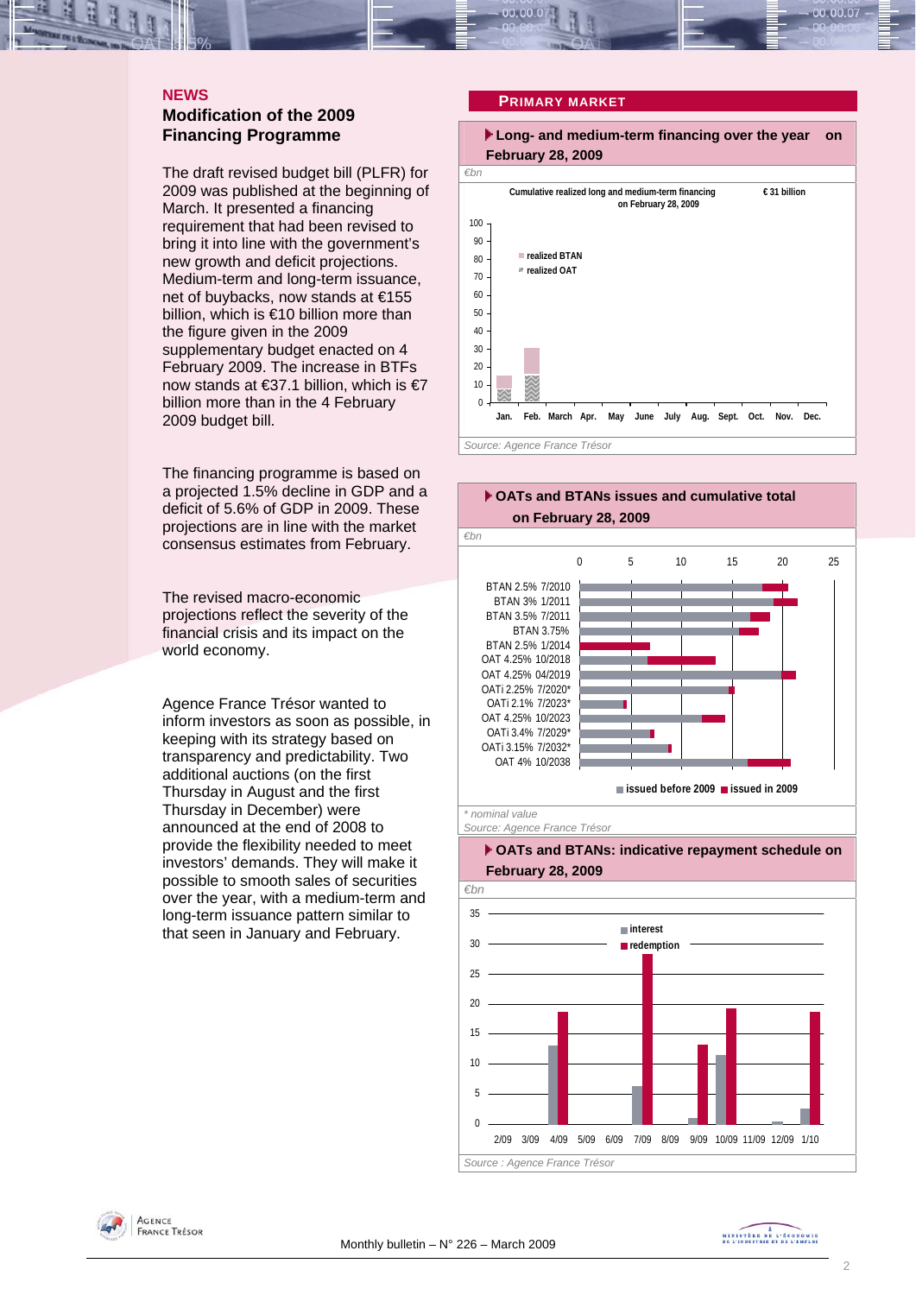#### **NEWS Modification of the 2009 Financing Programme**

The draft revised budget bill (PLFR) for 2009 was published at the beginning of March. It presented a financing requirement that had been revised to bring it into line with the government's new growth and deficit projections. Medium-term and long-term issuance, net of buybacks, now stands at €155 billion, which is €10 billion more than the figure given in the 2009 supplementary budget enacted on 4 February 2009. The increase in BTFs now stands at €37.1 billion, which is €7 billion more than in the 4 February 2009 budget bill.

The financing programme is based on a projected 1.5% decline in GDP and a deficit of 5.6% of GDP in 2009. These projections are in line with the market consensus estimates from February.

The revised macro-economic projections reflect the severity of the financial crisis and its impact on the world economy.

Agence France Trésor wanted to inform investors as soon as possible, in keeping with its strategy based on transparency and predictability. Two additional auctions (on the first Thursday in August and the first Thursday in December) were announced at the end of 2008 to provide the flexibility needed to meet investors' demands. They will make it possible to smooth sales of securities over the year, with a medium-term and long-term issuance pattern similar to that seen in January and February.

#### **PRIMARY MARKET**









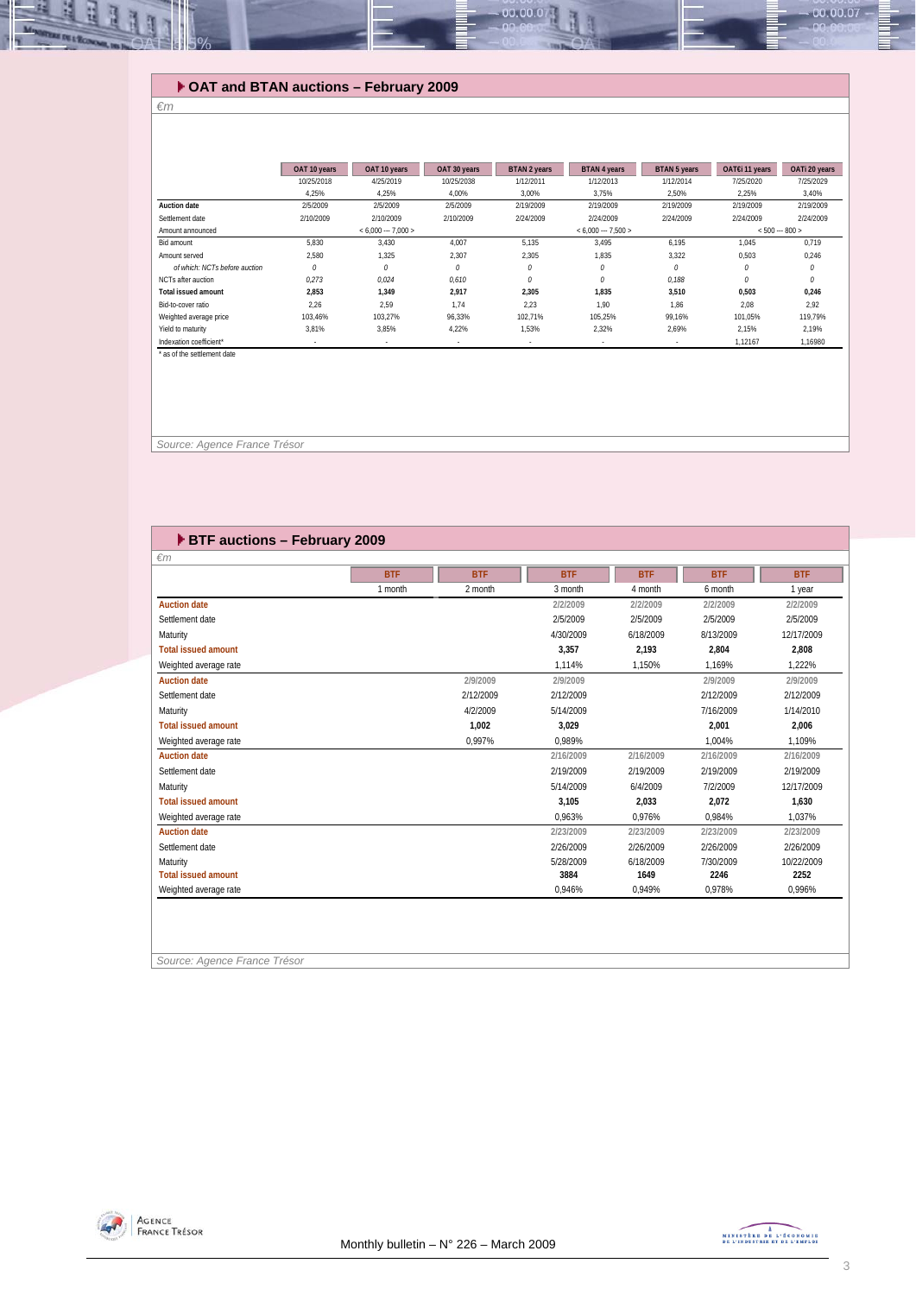### **OAT and BTAN auctions – February 2009**

#### *€m*

ų E

|                               | OAT 10 years | OAT 10 years        | OAT 30 years             | <b>BTAN 2 years</b>      | <b>BTAN 4 years</b>      | <b>BTAN 5 years</b> | OAT€i 11 years  | OATi 20 years |
|-------------------------------|--------------|---------------------|--------------------------|--------------------------|--------------------------|---------------------|-----------------|---------------|
|                               | 10/25/2018   | 4/25/2019           | 10/25/2038               | 1/12/2011                | 1/12/2013                | 1/12/2014           | 7/25/2020       | 7/25/2029     |
|                               | 4,25%        | 4,25%               | 4,00%                    | 3,00%                    | 3.75%                    | 2,50%               | 2,25%           | 3,40%         |
| <b>Auction date</b>           | 2/5/2009     | 2/5/2009            | 2/5/2009                 | 2/19/2009                | 2/19/2009                | 2/19/2009           | 2/19/2009       | 2/19/2009     |
| Settlement date               | 2/10/2009    | 2/10/2009           | 2/10/2009                | 2/24/2009                | 2/24/2009                | 2/24/2009           | 2/24/2009       | 2/24/2009     |
| Amount announced              |              | $< 6.000 - 7.000 >$ |                          |                          | $< 6.000 - 7.500 >$      |                     | $< 500 - 800 >$ |               |
| Bid amount                    | 5,830        | 3.430               | 4,007                    | 5,135                    | 3,495                    | 6,195               | 1,045           | 0,719         |
| Amount served                 | 2.580        | 1.325               | 2,307                    | 2,305                    | 1.835                    | 3,322               | 0,503           | 0,246         |
| of which: NCTs before auction | 0            | $\theta$            | $\theta$                 | 0                        | 0                        | 0                   | 0               | 0             |
| NCTs after auction            | 0.273        | 0.024               | 0.610                    | 0                        | 0                        | 0.188               | 0               | $\theta$      |
| <b>Total issued amount</b>    | 2.853        | 1.349               | 2.917                    | 2,305                    | 1.835                    | 3,510               | 0,503           | 0,246         |
| Bid-to-cover ratio            | 2.26         | 2.59                | 1.74                     | 2.23                     | 1.90                     | 1.86                | 2.08            | 2,92          |
| Weighted average price        | 103.46%      | 103.27%             | 96.33%                   | 102.71%                  | 105.25%                  | 99.16%              | 101.05%         | 119.79%       |
| Yield to maturity             | 3,81%        | 3,85%               | 4,22%                    | 1,53%                    | 2,32%                    | 2,69%               | 2,15%           | 2,19%         |
| Indexation coefficient*       |              |                     | $\overline{\phantom{a}}$ | $\overline{\phantom{a}}$ | $\overline{\phantom{a}}$ |                     | 1,12167         | 1,16980       |

00.00.0

 *Source: Agence France Trésor* 

| ▶ BTF auctions - February 2009 |            |            |            |            |            |            |
|--------------------------------|------------|------------|------------|------------|------------|------------|
| $\epsilon$ m                   |            |            |            |            |            |            |
|                                | <b>BTF</b> | <b>BTF</b> | <b>BTF</b> | <b>BTF</b> | <b>BTF</b> | <b>BTF</b> |
|                                | 1 month    | 2 month    | 3 month    | 4 month    | 6 month    | 1 year     |
| <b>Auction date</b>            |            |            | 2/2/2009   | 2/2/2009   | 2/2/2009   | 2/2/2009   |
| Settlement date                |            |            | 2/5/2009   | 2/5/2009   | 2/5/2009   | 2/5/2009   |
| Maturity                       |            |            | 4/30/2009  | 6/18/2009  | 8/13/2009  | 12/17/2009 |
| <b>Total issued amount</b>     |            |            | 3.357      | 2,193      | 2,804      | 2,808      |
| Weighted average rate          |            |            | 1.114%     | 1.150%     | 1.169%     | 1.222%     |
| <b>Auction date</b>            |            | 2/9/2009   | 2/9/2009   |            | 2/9/2009   | 2/9/2009   |
| Settlement date                |            | 2/12/2009  | 2/12/2009  |            | 2/12/2009  | 2/12/2009  |
| Maturity                       |            | 4/2/2009   | 5/14/2009  |            | 7/16/2009  | 1/14/2010  |
| <b>Total issued amount</b>     |            | 1,002      | 3,029      |            | 2,001      | 2,006      |
| Weighted average rate          |            | 0,997%     | 0,989%     |            | 1,004%     | 1,109%     |
| <b>Auction date</b>            |            |            | 2/16/2009  | 2/16/2009  | 2/16/2009  | 2/16/2009  |
| Settlement date                |            |            | 2/19/2009  | 2/19/2009  | 2/19/2009  | 2/19/2009  |
| Maturity                       |            |            | 5/14/2009  | 6/4/2009   | 7/2/2009   | 12/17/2009 |
| <b>Total issued amount</b>     |            |            | 3.105      | 2,033      | 2,072      | 1,630      |
| Weighted average rate          |            |            | 0.963%     | 0.976%     | 0.984%     | 1.037%     |
| <b>Auction date</b>            |            |            | 2/23/2009  | 2/23/2009  | 2/23/2009  | 2/23/2009  |
| Settlement date                |            |            | 2/26/2009  | 2/26/2009  | 2/26/2009  | 2/26/2009  |
| Maturity                       |            |            | 5/28/2009  | 6/18/2009  | 7/30/2009  | 10/22/2009 |
| <b>Total issued amount</b>     |            |            | 3884       | 1649       | 2246       | 2252       |
| Weighted average rate          |            |            | 0,946%     | 0,949%     | 0,978%     | 0,996%     |
|                                |            |            |            |            |            |            |
|                                |            |            |            |            |            |            |
|                                |            |            |            |            |            |            |

*Source: Agence France Trésor* 



 $00.00.07$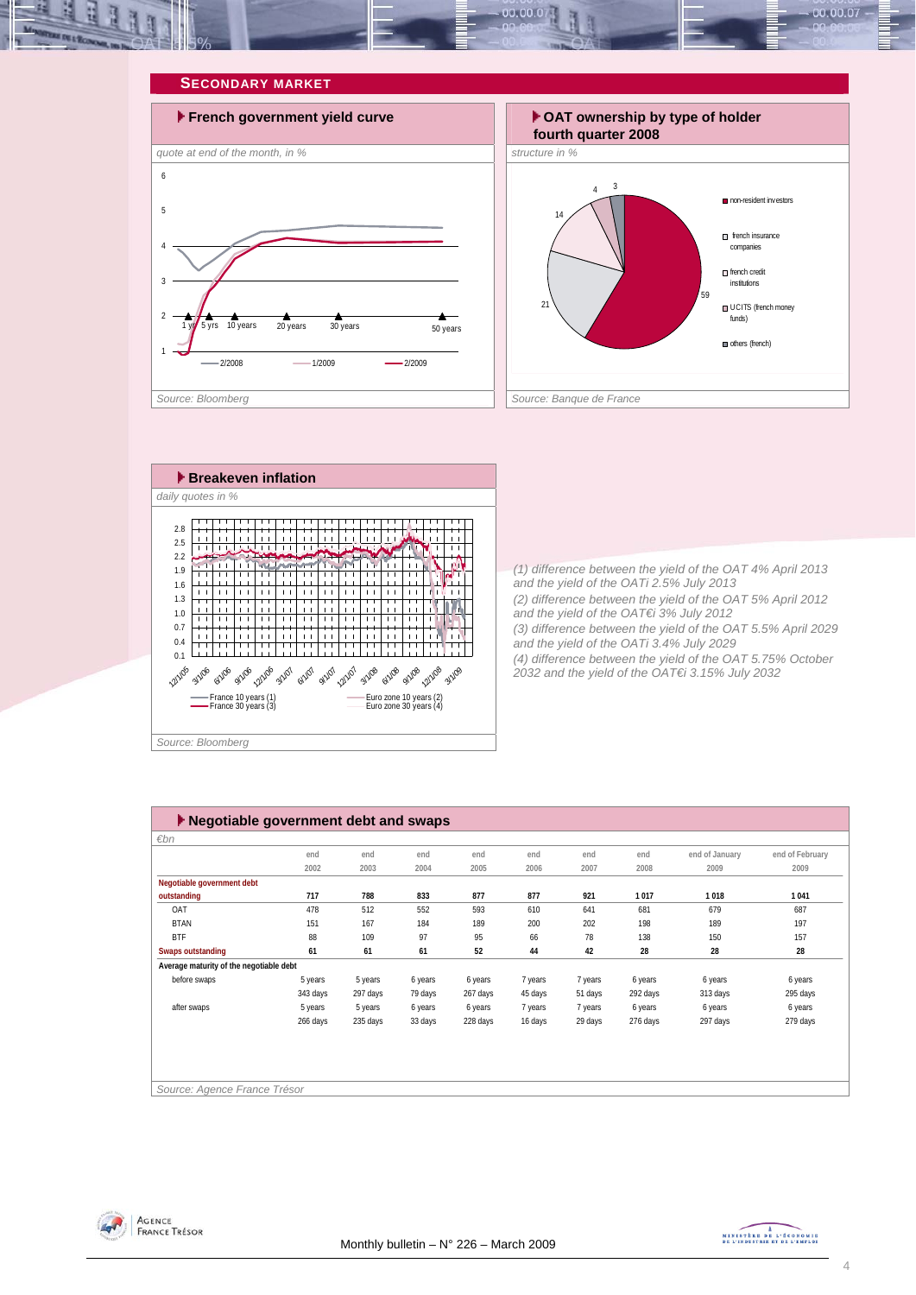









*(1) difference between the yield of the OAT 4% April 2013 and the yield of the OATi 2.5% July 2013 (2) difference between the yield of the OAT 5% April 2012 and the yield of the OAT€i 3% July 2012 (3) difference between the yield of the OAT 5.5% April 2029 and the yield of the OATi 3.4% July 2029 (4) difference between the yield of the OAT 5.75% October 2032 and the yield of the OAT€i 3.15% July 2032* 

| $\blacktriangleright$ Negotiable government debt and swaps |          |          |         |          |         |         |          |                |                 |  |  |
|------------------------------------------------------------|----------|----------|---------|----------|---------|---------|----------|----------------|-----------------|--|--|
| $\varepsilon$ bn                                           |          |          |         |          |         |         |          |                |                 |  |  |
|                                                            | end      | end      | end     | end      | end     | end     | end      | end of January | end of February |  |  |
|                                                            | 2002     | 2003     | 2004    | 2005     | 2006    | 2007    | 2008     | 2009           | 2009            |  |  |
| Negotiable government debt                                 |          |          |         |          |         |         |          |                |                 |  |  |
| outstanding                                                | 717      | 788      | 833     | 877      | 877     | 921     | 1017     | 1018           | 1041            |  |  |
| OAT                                                        | 478      | 512      | 552     | 593      | 610     | 641     | 681      | 679            | 687             |  |  |
| <b>BTAN</b>                                                | 151      | 167      | 184     | 189      | 200     | 202     | 198      | 189            | 197             |  |  |
| <b>BTF</b>                                                 | 88       | 109      | 97      | 95       | 66      | 78      | 138      | 150            | 157             |  |  |
| Swaps outstanding                                          | 61       | 61       | 61      | 52       | 44      | 42      | 28       | 28             | 28              |  |  |
| Average maturity of the negotiable debt                    |          |          |         |          |         |         |          |                |                 |  |  |
| before swaps                                               | 5 years  | 5 years  | 6 years | 6 years  | 7 years | 7 years | 6 years  | 6 years        | 6 years         |  |  |
|                                                            | 343 days | 297 days | 79 days | 267 days | 45 days | 51 days | 292 days | 313 days       | 295 days        |  |  |
| after swaps                                                | 5 years  | 5 years  | 6 years | 6 years  | 7 years | 7 years | 6 years  | 6 years        | 6 years         |  |  |
|                                                            | 266 days | 235 days | 33 days | 228 days | 16 days | 29 days | 276 days | 297 days       | 279 days        |  |  |
|                                                            |          |          |         |          |         |         |          |                |                 |  |  |
|                                                            |          |          |         |          |         |         |          |                |                 |  |  |
|                                                            |          |          |         |          |         |         |          |                |                 |  |  |
|                                                            |          |          |         |          |         |         |          |                |                 |  |  |
| Source: Agence France Trésor                               |          |          |         |          |         |         |          |                |                 |  |  |



MINISTÈRE DE L'ÉCONOMIE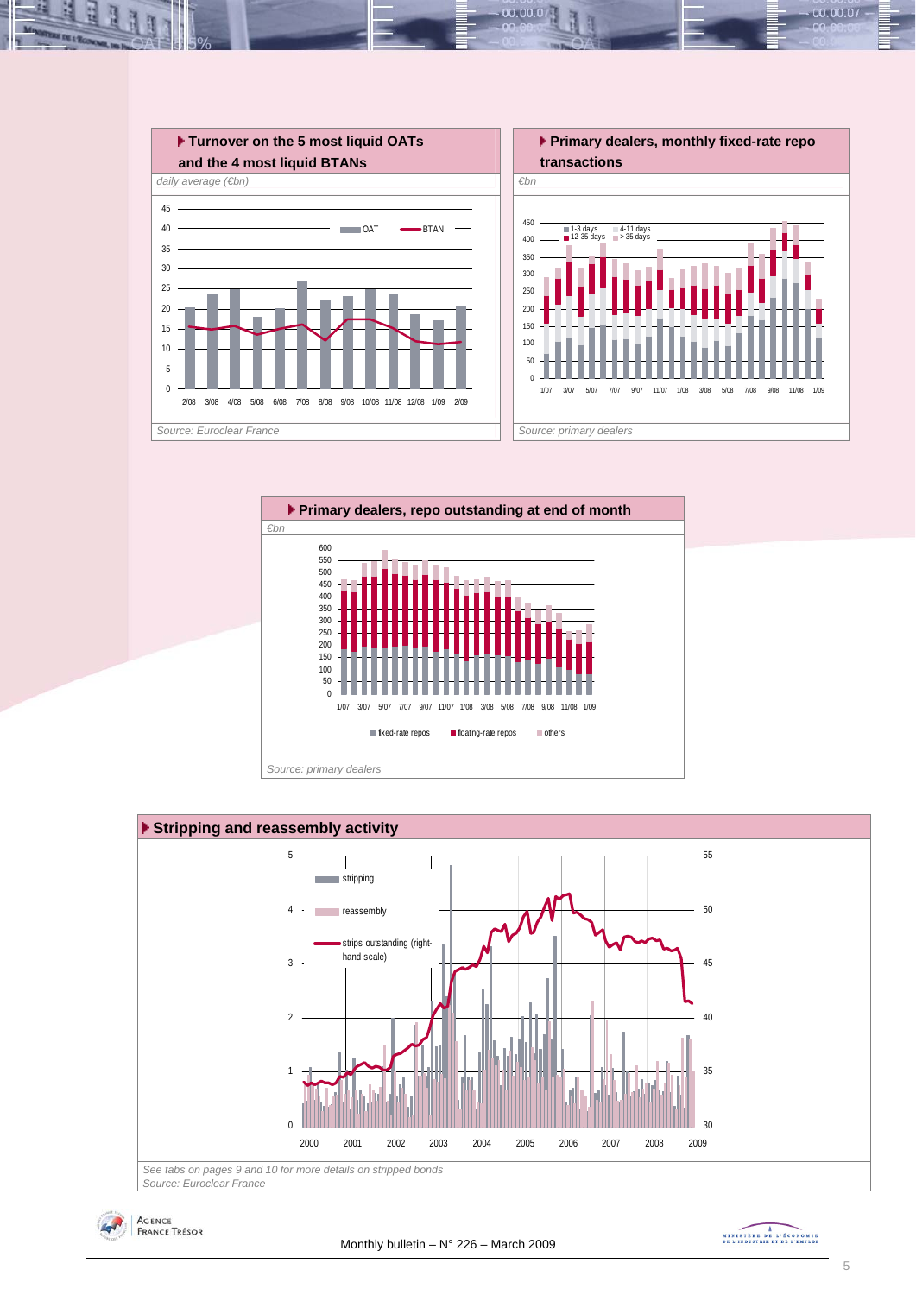







MINISTRE DE L'ÉCONOMIE

00.00.07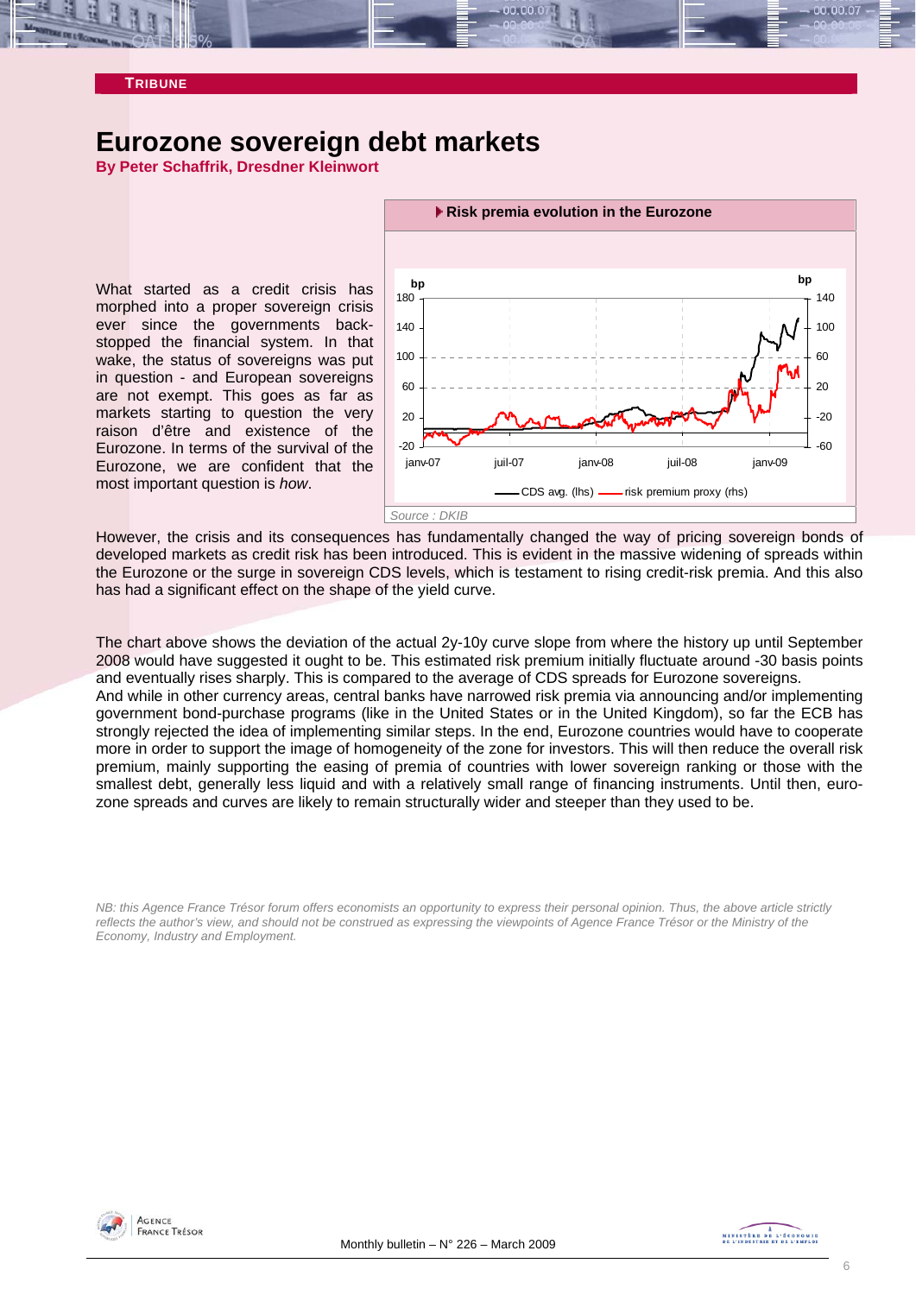

#### **TRIBUNE**

### **Eurozone sovereign debt markets**

**By Peter Schaffrik, Dresdner Kleinwort** 

What started as a credit crisis has morphed into a proper sovereign crisis ever since the governments backstopped the financial system. In that wake, the status of sovereigns was put in question - and European sovereigns are not exempt. This goes as far as markets starting to question the very raison d'être and existence of the Eurozone. In terms of the survival of the Eurozone, we are confident that the most important question is *how*.



However, the crisis and its consequences has fundamentally changed the way of pricing sovereign bonds of developed markets as credit risk has been introduced. This is evident in the massive widening of spreads within the Eurozone or the surge in sovereign CDS levels, which is testament to rising credit-risk premia. And this also has had a significant effect on the shape of the yield curve.

The chart above shows the deviation of the actual 2y-10y curve slope from where the history up until September 2008 would have suggested it ought to be. This estimated risk premium initially fluctuate around -30 basis points and eventually rises sharply. This is compared to the average of CDS spreads for Eurozone sovereigns. And while in other currency areas, central banks have narrowed risk premia via announcing and/or implementing government bond-purchase programs (like in the United States or in the United Kingdom), so far the ECB has strongly rejected the idea of implementing similar steps. In the end, Eurozone countries would have to cooperate more in order to support the image of homogeneity of the zone for investors. This will then reduce the overall risk premium, mainly supporting the easing of premia of countries with lower sovereign ranking or those with the smallest debt, generally less liquid and with a relatively small range of financing instruments. Until then, eurozone spreads and curves are likely to remain structurally wider and steeper than they used to be.

*NB: this Agence France Trésor forum offers economists an opportunity to express their personal opinion. Thus, the above article strictly reflects the author's view, and should not be construed as expressing the viewpoints of Agence France Trésor or the Ministry of the Economy, Industry and Employment.* 



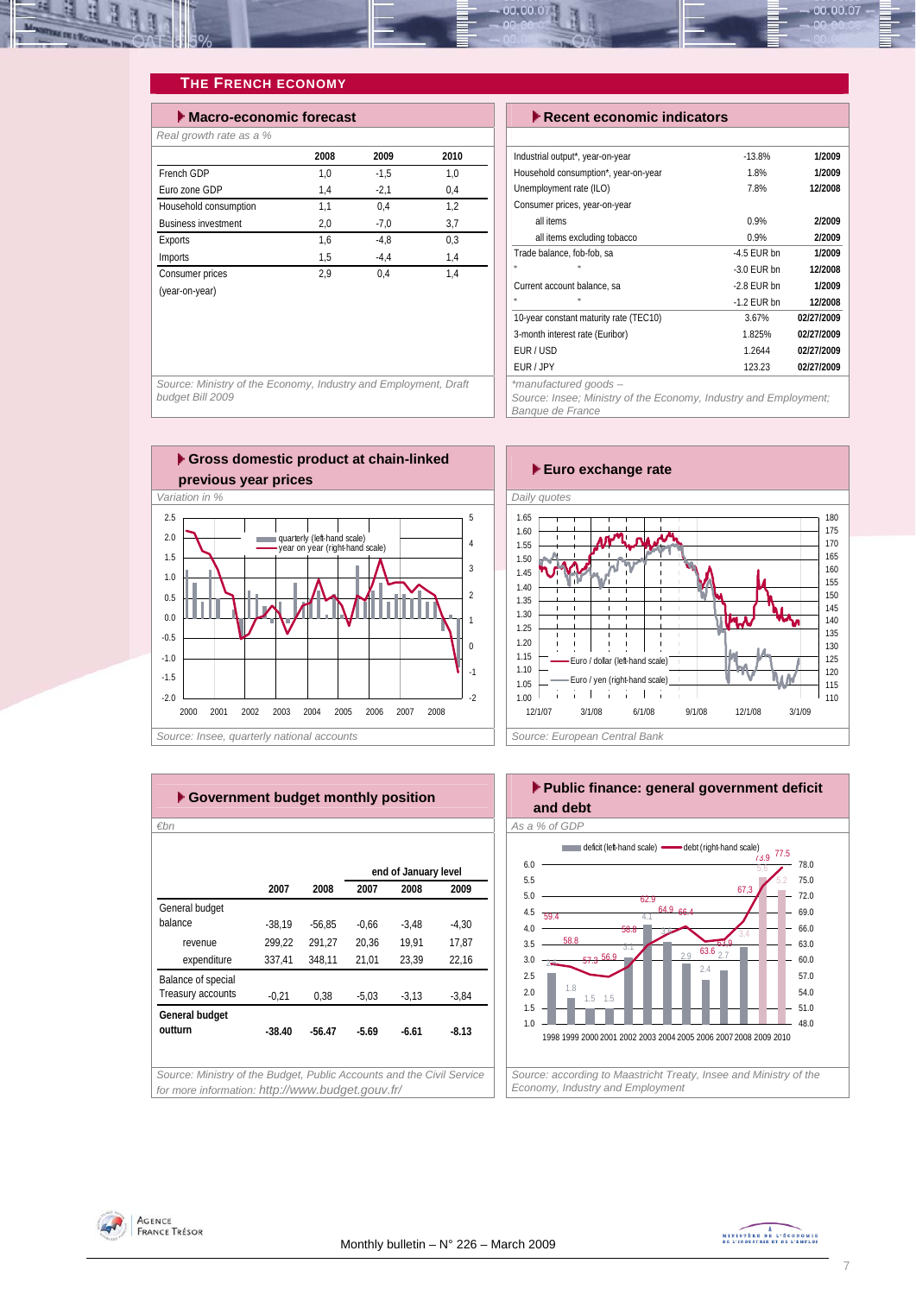

### **THE FRENCH ECONOMY**

| $\blacktriangleright$ Macro-economic forecast |      |        |      |  |  |  |  |  |  |  |
|-----------------------------------------------|------|--------|------|--|--|--|--|--|--|--|
| Real growth rate as a %                       |      |        |      |  |  |  |  |  |  |  |
|                                               | 2008 | 2009   | 2010 |  |  |  |  |  |  |  |
| French GDP                                    | 1,0  | $-1.5$ | 1.0  |  |  |  |  |  |  |  |
| Euro zone GDP                                 | 1,4  | $-2,1$ | 0,4  |  |  |  |  |  |  |  |
| Household consumption                         | 1.1  | 0.4    | 1.2  |  |  |  |  |  |  |  |
| <b>Business investment</b>                    | 2,0  | $-7.0$ | 3,7  |  |  |  |  |  |  |  |
| <b>Exports</b>                                | 1,6  | $-4.8$ | 0.3  |  |  |  |  |  |  |  |
| Imports                                       | 1,5  | $-4.4$ | 1,4  |  |  |  |  |  |  |  |
| Consumer prices                               | 2.9  | 0.4    | 1.4  |  |  |  |  |  |  |  |
| (year-on-year)                                |      |        |      |  |  |  |  |  |  |  |

#### **Execent economic indicators**

| Industrial output*, year-on-year       | $-13.8%$      | 1/2009     |
|----------------------------------------|---------------|------------|
| Household consumption*, year-on-year   | 1.8%          | 1/2009     |
| Unemployment rate (ILO)                | 7.8%          | 12/2008    |
| Consumer prices, year-on-year          |               |            |
| all items                              | 0.9%          | 2/2009     |
| all items excluding tobacco            | 0.9%          | 2/2009     |
| Trade balance, fob-fob, sa             | $-4.5$ FUR bn | 1/2009     |
| п                                      | $-3.0$ FUR bn | 12/2008    |
| Current account balance, sa            | $-2.8$ FUR bn | 1/2009     |
| п                                      | $-1.2$ FUR bn | 12/2008    |
| 10-year constant maturity rate (TEC10) | 3.67%         | 02/27/2009 |
| 3-month interest rate (Euribor)        | 1.825%        | 02/27/2009 |
| FUR/USD                                | 1.2644        | 02/27/2009 |
| FUR / JPY                              | 123.23        | 02/27/2009 |
| *manufacturad anode —                  |               |            |

*\*manufactured goods –* 

*Source: Insee; Ministry of the Economy, Industry and Employment; Banque de France* 

*Source: Ministry of the Economy, Industry and Employment, Draft budget Bill 2009* 





| €bn                |          |          |         |                      |         |
|--------------------|----------|----------|---------|----------------------|---------|
|                    |          |          |         | end of January level |         |
|                    | 2007     | 2008     | 2007    | 2008                 | 2009    |
| General budget     |          |          |         |                      |         |
| balance            | $-38.19$ | $-56.85$ | $-0.66$ | $-3,48$              | $-4.30$ |
| revenue            | 299,22   | 291,27   | 20,36   | 19,91                | 17,87   |
| expenditure        | 337,41   | 348,11   | 21,01   | 23,39                | 22,16   |
| Balance of special |          |          |         |                      |         |
| Treasury accounts  | $-0,21$  | 0,38     | $-5,03$ | $-3,13$              | $-3,84$ |
| General budget     |          |          |         |                      |         |
| outturn            | $-38.40$ | $-56.47$ | $-5.69$ | $-6.61$              | $-8.13$ |
|                    |          |          |         |                      |         |



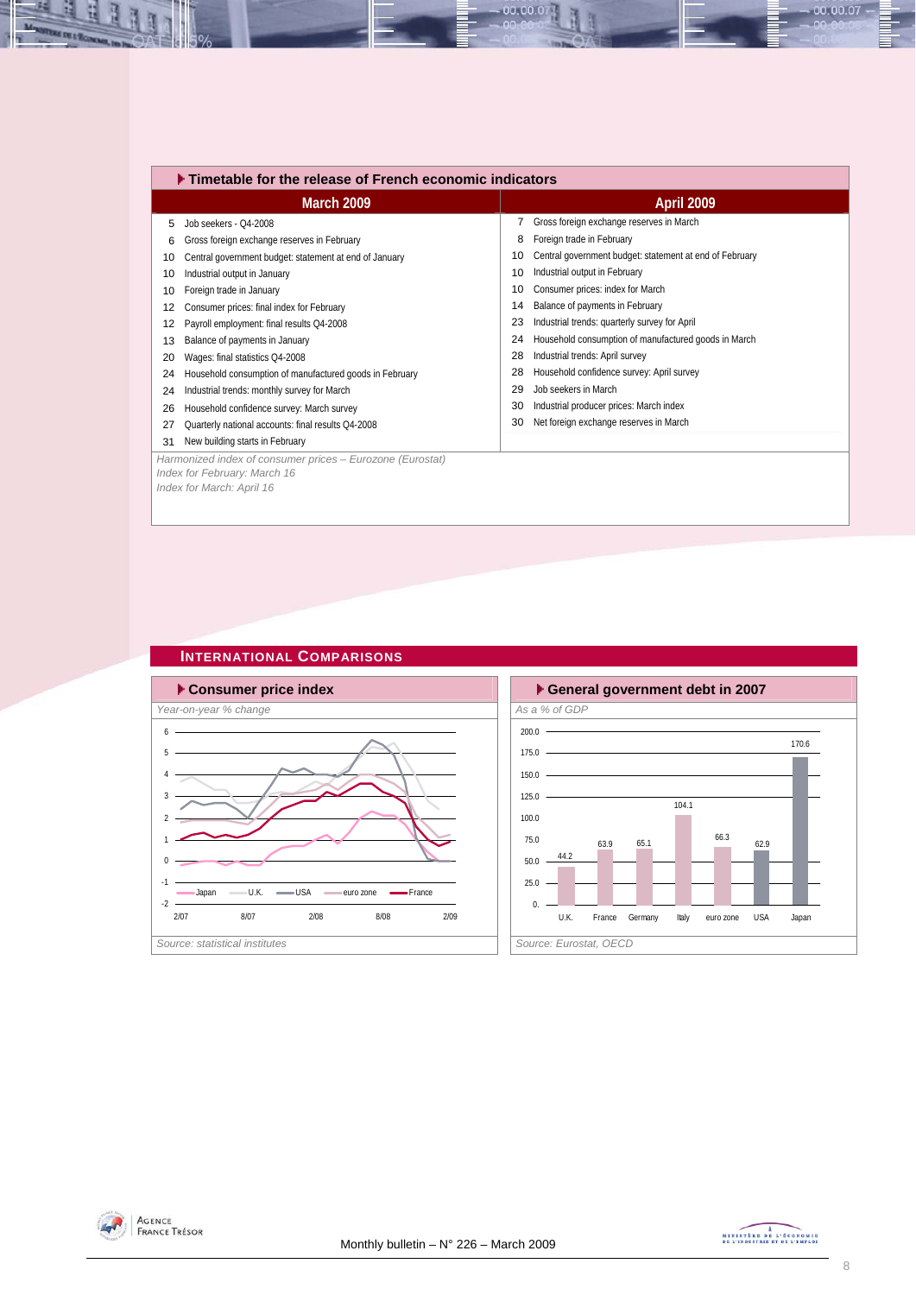|    | Timetable for the release of French economic indicators                                                                |    |                                                         |  |  |  |  |  |  |
|----|------------------------------------------------------------------------------------------------------------------------|----|---------------------------------------------------------|--|--|--|--|--|--|
|    | <b>March 2009</b>                                                                                                      |    | <b>April 2009</b>                                       |  |  |  |  |  |  |
| 5  | Job seekers - Q4-2008                                                                                                  |    | Gross foreign exchange reserves in March                |  |  |  |  |  |  |
| 6  | Gross foreign exchange reserves in February                                                                            | 8  | Foreign trade in February                               |  |  |  |  |  |  |
| 10 | Central government budget: statement at end of January                                                                 | 10 | Central government budget: statement at end of February |  |  |  |  |  |  |
| 10 | Industrial output in January                                                                                           | 10 | Industrial output in February                           |  |  |  |  |  |  |
| 10 | Foreign trade in January                                                                                               | 10 | Consumer prices: index for March                        |  |  |  |  |  |  |
| 12 | Consumer prices: final index for February                                                                              | 14 | Balance of payments in February                         |  |  |  |  |  |  |
| 12 | Payroll employment: final results Q4-2008                                                                              | 23 | Industrial trends: quarterly survey for April           |  |  |  |  |  |  |
| 13 | Balance of payments in January                                                                                         | 24 | Household consumption of manufactured goods in March    |  |  |  |  |  |  |
| 20 | Wages: final statistics Q4-2008                                                                                        | 28 | Industrial trends: April survey                         |  |  |  |  |  |  |
| 24 | Household consumption of manufactured goods in February                                                                | 28 | Household confidence survey: April survey               |  |  |  |  |  |  |
| 24 | Industrial trends: monthly survey for March                                                                            | 29 | Job seekers in March                                    |  |  |  |  |  |  |
| 26 | Household confidence survey: March survey                                                                              | 30 | Industrial producer prices: March index                 |  |  |  |  |  |  |
| 27 | Quarterly national accounts: final results Q4-2008                                                                     | 30 | Net foreign exchange reserves in March                  |  |  |  |  |  |  |
| 31 | New building starts in February                                                                                        |    |                                                         |  |  |  |  |  |  |
|    | Harmonized index of consumer prices - Eurozone (Eurostat)<br>Index for February: March 16<br>Index for March: April 16 |    |                                                         |  |  |  |  |  |  |

00.00.0

### **INTERNATIONAL COMPARISONS**







N



 $00.00.07 -$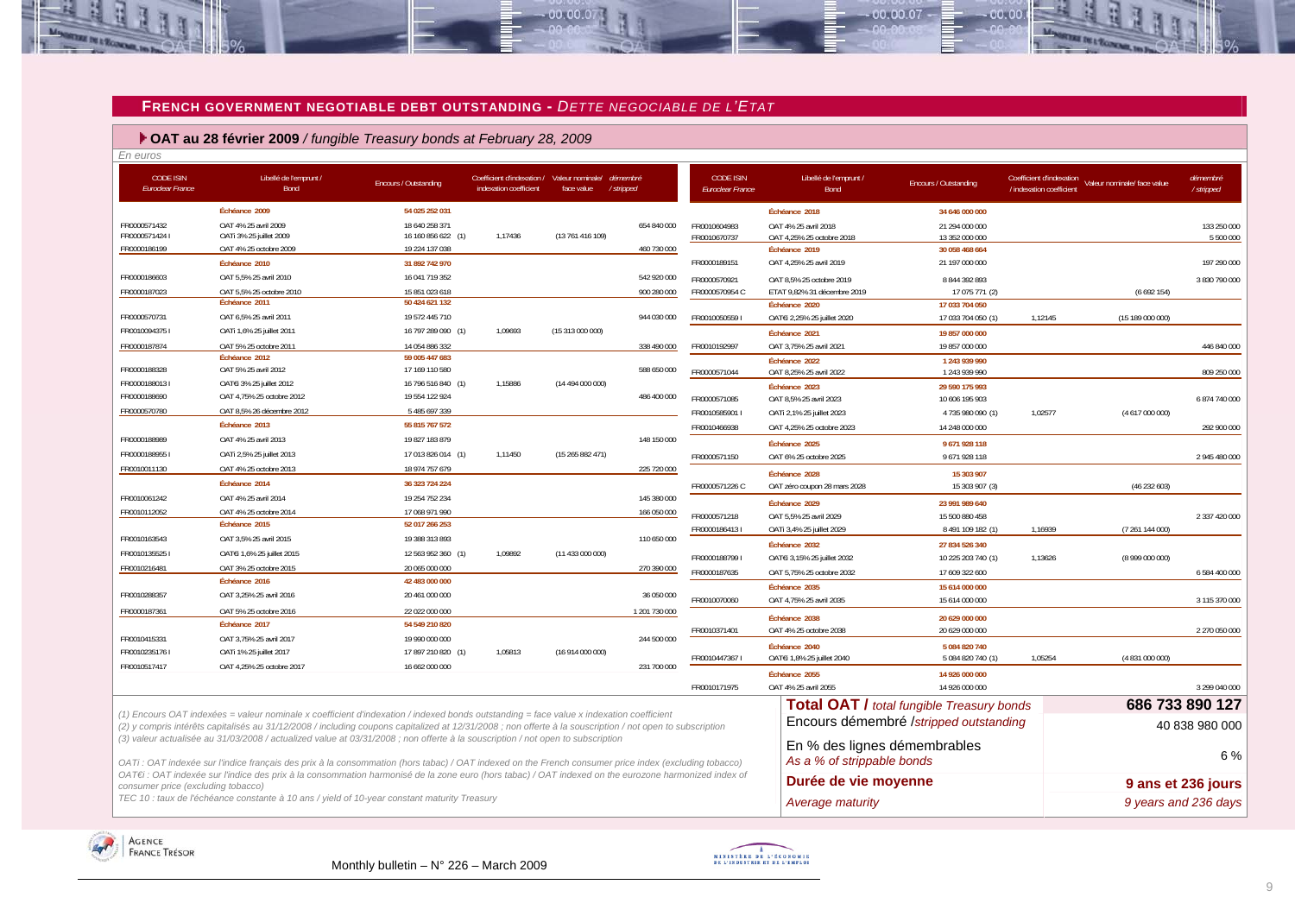#### **FRENCH GOVERNMENT NEGOTIABLE DEBT OUTSTANDING -** *DETTE NEGOCIABLE DE L'ETAT*

 $00.00.07$ 

 **OAT au 28 février 2009** */ fungible Treasury bonds at February 28, 2009*

| En euros                             |                                                                                                                                                                                                                                                                                                              |                                  |                                                                       |                  |                        |                                             |                                         |                                                  |                                                      |                             |                       |
|--------------------------------------|--------------------------------------------------------------------------------------------------------------------------------------------------------------------------------------------------------------------------------------------------------------------------------------------------------------|----------------------------------|-----------------------------------------------------------------------|------------------|------------------------|---------------------------------------------|-----------------------------------------|--------------------------------------------------|------------------------------------------------------|-----------------------------|-----------------------|
| <b>CODE ISIN</b><br>Euroclear France | Libellé de l'emprunt /<br>Bond                                                                                                                                                                                                                                                                               | Encours / Outstanding            | Coefficient d'indexation / Valeur nominale/<br>indexation coefficient | face value       | démembre<br>/ stripped | <b>CODE ISIN</b><br><b>Euroclear France</b> | Libellé de l'emprunt /<br>Bond          | Encours / Outstanding                            | Coefficient d'indexation<br>/ indexation coefficient | Valeur nominale/ face value | démembré<br>/stripped |
|                                      | Échéance 2009                                                                                                                                                                                                                                                                                                | 54 025 252 031                   |                                                                       |                  |                        |                                             | Échéance 2018                           | 34 646 000 000                                   |                                                      |                             |                       |
| FR0000571432                         | OAT 4% 25 avril 2009                                                                                                                                                                                                                                                                                         | 18 640 258 371                   |                                                                       |                  | 654 840 000            | FR0010604983                                | OAT 4% 25 avril 2018                    | 21 294 000 000                                   |                                                      |                             | 133 250 000           |
| FR00005714241                        | OATi 3% 25 juillet 2009                                                                                                                                                                                                                                                                                      | 16 160 856 622 (1)               | 1.17436                                                               | (13 761 416 109) |                        | FR0010670737                                | OAT 4,25% 25 octobre 2018               | 13 352 000 000                                   |                                                      |                             | 5 500 000             |
| FR0000186199                         | OAT 4% 25 octobre 2009                                                                                                                                                                                                                                                                                       | 19 224 137 038                   |                                                                       |                  | 460 730 000            |                                             | Échéance 2019                           | 30 058 468 664                                   |                                                      |                             |                       |
|                                      | Échéance 2010                                                                                                                                                                                                                                                                                                | 31 892 742 970                   |                                                                       |                  |                        | FR0000189151                                | OAT 4,25% 25 avril 2019                 | 21 197 000 000                                   |                                                      |                             | 197 290 000           |
| FR0000186603                         | OAT 5,5% 25 avril 2010                                                                                                                                                                                                                                                                                       | 16 041 719 352                   |                                                                       |                  | 542 920 000            | FR0000570921                                | OAT 8.5% 25 octobre 2019                | 8 844 392 893                                    |                                                      |                             | 3 830 790 000         |
| FR0000187023                         | OAT 5.5% 25 octobre 2010                                                                                                                                                                                                                                                                                     | 15 851 023 618                   |                                                                       |                  | 900 280 000            | FR0000570954 C                              | ETAT 9,82% 31 décembre 2019             | 17 075 771 (2)                                   |                                                      | (6692154)                   |                       |
|                                      | Échéance 2011                                                                                                                                                                                                                                                                                                | 50 424 621 132                   |                                                                       |                  |                        |                                             | Échéance 2020                           | 17 033 704 050                                   |                                                      |                             |                       |
| FR0000570731                         | OAT 6,5% 25 avril 2011                                                                                                                                                                                                                                                                                       | 19 572 445 710                   |                                                                       |                  | 944 030 000            | FR0010050559                                | OATEi 2,25% 25 juillet 2020             | 17 033 704 050 (1                                | 1,12145                                              | (15 189 000 000)            |                       |
| FR00100943751                        | OATi 1,6% 25 juillet 2011                                                                                                                                                                                                                                                                                    | 16 797 289 090 (1)               | 1,09693                                                               | (15313000000)    |                        |                                             | Échéance 2021                           | 19 857 000 000                                   |                                                      |                             |                       |
| FR0000187874                         | OAT 5% 25 octobre 2011<br>Échéance 2012                                                                                                                                                                                                                                                                      | 14 054 886 332<br>59 005 447 683 |                                                                       |                  | 338 490 000            | FR0010192997                                | OAT 3.75% 25 avril 2021                 | 19 857 000 000                                   |                                                      |                             | 446 840 000           |
| FR0000188328                         | OAT 5% 25 avril 2012                                                                                                                                                                                                                                                                                         | 17 169 110 580                   |                                                                       |                  | 588 650 000            |                                             | Échéance 2022                           | 1243 939 990                                     |                                                      |                             |                       |
| FR00001880131                        | OAT€i 3% 25 juillet 2012                                                                                                                                                                                                                                                                                     | 16 796 516 840 (1)               | 1,15886                                                               | (14494000000)    |                        | FR0000571044                                | OAT 8,25% 25 avril 2022                 | 1 243 939 990                                    |                                                      |                             | 809 250 000           |
| FR0000188690                         | OAT 4,75% 25 octobre 2012                                                                                                                                                                                                                                                                                    | 19 554 122 924                   |                                                                       |                  | 486 400 000            | FR0000571085                                | Échéance 2023<br>OAT 8,5% 25 avril 2023 | 29 590 175 993<br>10 606 195 903                 |                                                      |                             | 6 874 740 000         |
| FR0000570780                         | OAT 8,5% 26 décembre 2012                                                                                                                                                                                                                                                                                    | 5 485 697 339                    |                                                                       |                  |                        | FR0010585901                                | OATi 2,1% 25 juillet 2023               | 4735980090 (1)                                   | 1,02577                                              | (4617000000)                |                       |
|                                      | Échéance 2013                                                                                                                                                                                                                                                                                                | 55 815 767 572                   |                                                                       |                  |                        | FR0010466938                                | OAT 4,25% 25 octobre 2023               | 14 248 000 000                                   |                                                      |                             | 292 900 000           |
| FR0000188989                         | OAT 4% 25 avril 2013                                                                                                                                                                                                                                                                                         | 19 827 183 879                   |                                                                       |                  | 148 150 000            |                                             |                                         |                                                  |                                                      |                             |                       |
| FR00001889551                        | OATi 2,5% 25 juillet 2013                                                                                                                                                                                                                                                                                    | 17 013 826 014 (1)               | 1,11450                                                               | (15265882471)    |                        |                                             | Échéance 2025                           | 9671928118                                       |                                                      |                             |                       |
| FR0010011130                         | OAT 4% 25 octobre 2013                                                                                                                                                                                                                                                                                       | 18 974 757 679                   |                                                                       |                  | 225 720 000            | FR0000571150                                | OAT 6% 25 octobre 2025                  | 9671928118                                       |                                                      |                             | 2 945 480 000         |
|                                      | Échéance 2014                                                                                                                                                                                                                                                                                                | 36 323 724 224                   |                                                                       |                  |                        |                                             | Échéance 2028                           | 15 303 907                                       |                                                      |                             |                       |
| FR0010061242                         | OAT 4% 25 avril 2014                                                                                                                                                                                                                                                                                         | 19 254 752 234                   |                                                                       |                  | 145 380 000            | FR0000571226 C                              | OAT zéro coupon 28 mars 2028            | 15 303 907 (3)                                   |                                                      | (46232603)                  |                       |
| FR0010112052                         | OAT 4% 25 octobre 2014                                                                                                                                                                                                                                                                                       | 17 068 971 990                   |                                                                       |                  | 166 050 000            |                                             | Échéance 2029                           | 23 991 989 640                                   |                                                      |                             |                       |
|                                      | Échéance 2015                                                                                                                                                                                                                                                                                                | 52 017 266 253                   |                                                                       |                  |                        | FR0000571218                                | OAT 5,5% 25 avril 2029                  | 15 500 880 458                                   |                                                      |                             | 2 337 420 000         |
| FR0010163543                         | OAT 3,5% 25 avril 2015                                                                                                                                                                                                                                                                                       | 19 388 313 893                   |                                                                       |                  | 110 650 000            | FR00001864131                               | OATi 3,4% 25 juillet 2029               | 8 491 109 182 (1)                                | 1,16939                                              | (7 261 144 000)             |                       |
| FR00101355251                        | OAT€i 1,6% 25 juillet 2015                                                                                                                                                                                                                                                                                   | 12 563 952 360 (1)               | 1.09892                                                               | (11 433 000 000) |                        |                                             | Échéance 2032                           | 27 834 526 340                                   |                                                      |                             |                       |
| FR0010216481                         | OAT 3% 25 octobre 2015                                                                                                                                                                                                                                                                                       | 20 065 000 000                   |                                                                       |                  | 270 390 000            | FR00001887991                               | OATEi 3,15% 25 juillet 2032             | 10 225 203 740 (1)                               | 1,13626                                              | (8999000000)                |                       |
|                                      | Échéance 2016                                                                                                                                                                                                                                                                                                | 42 483 000 000                   |                                                                       |                  |                        | FR0000187635                                | OAT 5,75% 25 octobre 2032               | 17 609 322 600                                   |                                                      |                             | 6 584 400 000         |
| FR0010288357                         | OAT 3,25% 25 avril 2016                                                                                                                                                                                                                                                                                      | 20 461 000 000                   |                                                                       |                  | 36 050 000             |                                             | Échéance 2035                           | 15 614 000 000                                   |                                                      |                             |                       |
| FR0000187361                         | OAT 5% 25 octobre 2016                                                                                                                                                                                                                                                                                       | 22 022 000 000                   |                                                                       |                  | 1 201 730 000          | FR0010070060                                | OAT 4,75% 25 avril 2035                 | 15 614 000 000                                   |                                                      |                             | 3 115 370 000         |
|                                      | Échéance 2017                                                                                                                                                                                                                                                                                                | 54 549 210 820                   |                                                                       |                  |                        |                                             | Échéance 2038                           | 20 629 000 000                                   |                                                      |                             |                       |
| FR0010415331                         | OAT 3,75% 25 avril 2017                                                                                                                                                                                                                                                                                      | 19 990 000 000                   |                                                                       |                  | 244 500 000            | FR0010371401                                | OAT 4% 25 octobre 2038                  | 20 629 000 000                                   |                                                      |                             | 2 270 050 000         |
| FR00102351761                        | OATi 1% 25 juillet 2017                                                                                                                                                                                                                                                                                      | 17 897 210 820 (1)               | 1,05813                                                               | (16 914 000 000) |                        |                                             | Échéance 2040                           | 5 084 820 740                                    |                                                      |                             |                       |
| FR0010517417                         | OAT 4.25% 25 octobre 2017                                                                                                                                                                                                                                                                                    | 16 662 000 000                   |                                                                       |                  | 231 700 000            | FR00104473671                               | OATEI 1,8% 25 juillet 2040              | 5 084 820 740 (1)                                | 1,05254                                              | (4831000000)                |                       |
|                                      |                                                                                                                                                                                                                                                                                                              |                                  |                                                                       |                  |                        |                                             | Échéance 2055                           | 14 926 000 000                                   |                                                      |                             |                       |
|                                      |                                                                                                                                                                                                                                                                                                              |                                  |                                                                       |                  |                        | FR0010171975                                | OAT 4% 25 avril 2055                    | 14 926 000 000                                   |                                                      |                             | 3 299 040 000         |
|                                      |                                                                                                                                                                                                                                                                                                              |                                  |                                                                       |                  |                        |                                             |                                         | <b>Total OAT / total fungible Treasury bonds</b> |                                                      |                             | 686 733 890 127       |
|                                      | (1) Encours OAT indexées = valeur nominale x coefficient d'indexation / indexed bonds outstanding = face value x indexation coefficient<br>(2) y compris intérêts capitalisés au 31/12/2008 / including coupons capitalized at 12/31/2008; non offerte à la souscription / not open to subscription          |                                  |                                                                       |                  |                        |                                             |                                         | Encours démembré /stripped outstanding           |                                                      |                             | 40 838 980 000        |
|                                      | (3) valeur actualisée au 31/03/2008 / actualized value at 03/31/2008 ; non offerte à la souscription / not open to subscription                                                                                                                                                                              |                                  |                                                                       |                  |                        |                                             | En % des lignes démembrables            |                                                  |                                                      |                             | 6%                    |
|                                      | OATi: OAT indexée sur l'indice français des prix à la consommation (hors tabac) / OAT indexed on the French consumer price index (excluding tobacco)<br>OAT€i : OAT indexée sur l'indice des prix à la consommation harmonisé de la zone euro (hors tabac) / OAT indexed on the eurozone harmonized index of |                                  |                                                                       |                  |                        |                                             | As a % of strippable bonds              |                                                  |                                                      |                             |                       |
| consumer price (excluding tobacco)   |                                                                                                                                                                                                                                                                                                              |                                  |                                                                       |                  |                        |                                             | Durée de vie moyenne                    |                                                  |                                                      |                             | 9 ans et 236 jours    |
|                                      | TEC 10 : taux de l'échéance constante à 10 ans / yield of 10-year constant maturity Treasury                                                                                                                                                                                                                 |                                  |                                                                       |                  |                        |                                             | Average maturity                        |                                                  |                                                      |                             | 9 years and 236 days  |





00.00.07